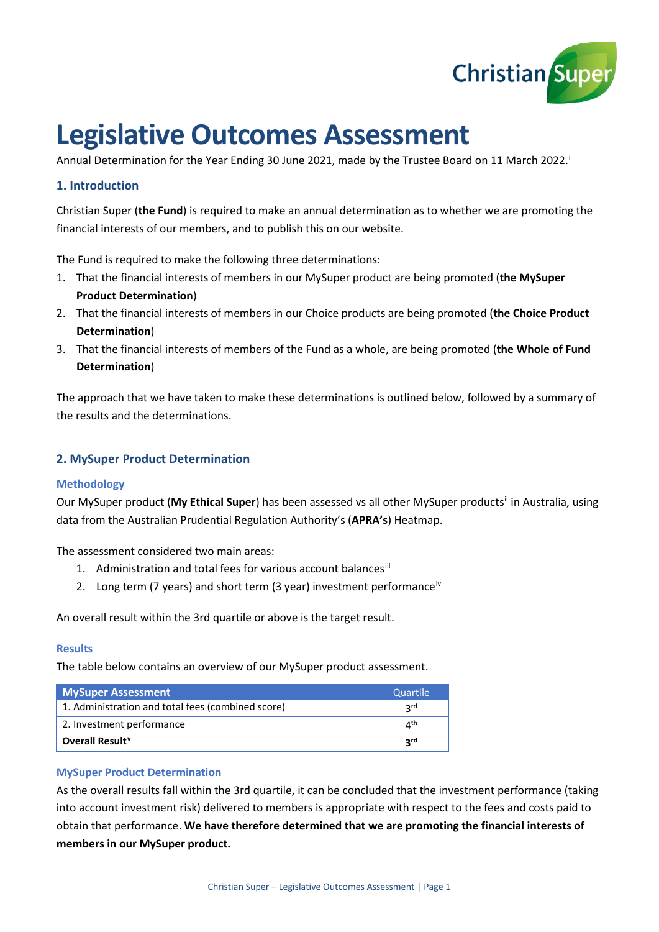

# **Legislative Outcomes Assessment**

Annual Determ[i](#page-3-0)nation for the Year Ending 30 June 2021, made by the Trustee Board on 11 March 2022.

# **1. Introduction**

Christian Super (**the Fund**) is required to make an annual determination as to whether we are promoting the financial interests of our members, and to publish this on our website.

The Fund is required to make the following three determinations:

- 1. That the financial interests of members in our MySuper product are being promoted (**the MySuper Product Determination**)
- 2. That the financial interests of members in our Choice products are being promoted (**the Choice Product Determination**)
- 3. That the financial interests of members of the Fund as a whole, are being promoted (**the Whole of Fund Determination**)

The approach that we have taken to make these determinations is outlined below, followed by a summary of the results and the determinations.

# **2. MySuper Product Determination**

# **Methodology**

Our MySuper product (**My Ethical Super**) has been assessed vs all other MySuper products[ii](#page-3-1) in Australia, using data from the Australian Prudential Regulation Authority's (**APRA's**) Heatmap.

The assessment considered two main areas:

- 1. Administration and total fees for various account balances<sup>[iii](#page-3-2)</sup>
- 2. Long term (7 years) and short term (3 year) investment performance<sup>[iv](#page-3-3)</sup>

An overall result within the 3rd quartile or above is the target result.

# **Results**

The table below contains an overview of our MySuper product assessment.

| <b>MySuper Assessment</b>                         | Quartile                 |
|---------------------------------------------------|--------------------------|
| 1. Administration and total fees (combined score) | 2 <sub>rd</sub>          |
| 2. Investment performance                         | $\varLambda^{\text{th}}$ |
| Overall Result <sup>v</sup>                       | <b>2rd</b>               |

# **MySuper Product Determination**

As the overall results fall within the 3rd quartile, it can be concluded that the investment performance (taking into account investment risk) delivered to members is appropriate with respect to the fees and costs paid to obtain that performance. **We have therefore determined that we are promoting the financial interests of members in our MySuper product.**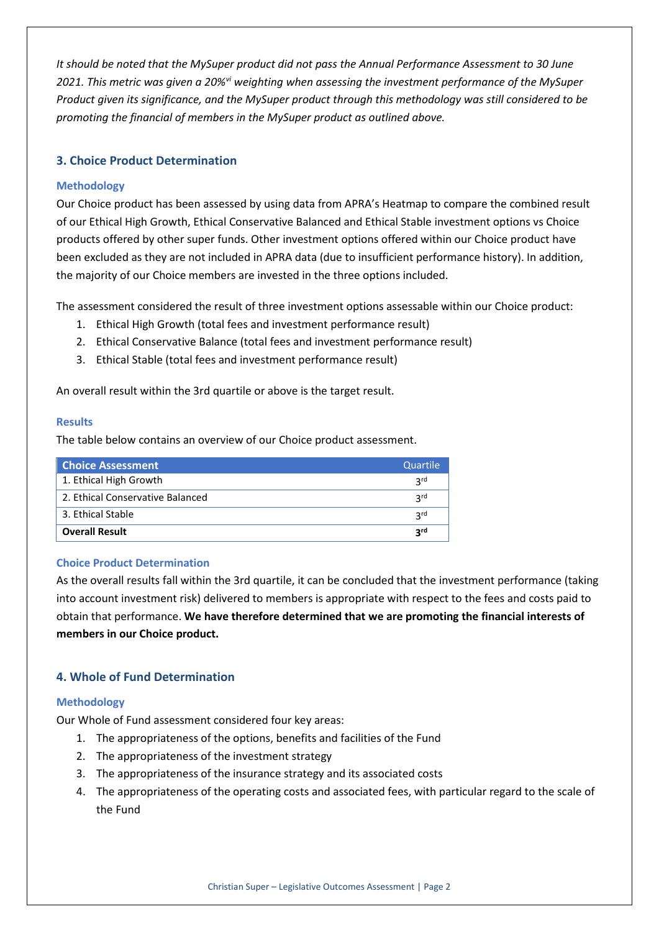*It should be noted that the MySuper product did not pass the Annual Performance Assessment to 30 June 2021. This metric was given a 20%[vi](#page-3-5) weighting when assessing the investment performance of the MySuper Product given its significance, and the MySuper product through this methodology was still considered to be promoting the financial of members in the MySuper product as outlined above.*

# **3. Choice Product Determination**

# **Methodology**

Our Choice product has been assessed by using data from APRA's Heatmap to compare the combined result of our Ethical High Growth, Ethical Conservative Balanced and Ethical Stable investment options vs Choice products offered by other super funds. Other investment options offered within our Choice product have been excluded as they are not included in APRA data (due to insufficient performance history). In addition, the majority of our Choice members are invested in the three options included.

The assessment considered the result of three investment options assessable within our Choice product:

- 1. Ethical High Growth (total fees and investment performance result)
- 2. Ethical Conservative Balance (total fees and investment performance result)
- 3. Ethical Stable (total fees and investment performance result)

An overall result within the 3rd quartile or above is the target result.

# **Results**

The table below contains an overview of our Choice product assessment.

| <b>Choice Assessment</b>         | Quartile        |
|----------------------------------|-----------------|
| 1. Ethical High Growth           | <b>2rd</b>      |
| 2. Ethical Conservative Balanced | 3 <sup>rd</sup> |
| 3. Ethical Stable                | <b>Prd</b>      |
| <b>Overall Result</b>            | <b>2rd</b>      |

# **Choice Product Determination**

As the overall results fall within the 3rd quartile, it can be concluded that the investment performance (taking into account investment risk) delivered to members is appropriate with respect to the fees and costs paid to obtain that performance. **We have therefore determined that we are promoting the financial interests of members in our Choice product.**

# **4. Whole of Fund Determination**

# **Methodology**

Our Whole of Fund assessment considered four key areas:

- 1. The appropriateness of the options, benefits and facilities of the Fund
- 2. The appropriateness of the investment strategy
- 3. The appropriateness of the insurance strategy and its associated costs
- 4. The appropriateness of the operating costs and associated fees, with particular regard to the scale of the Fund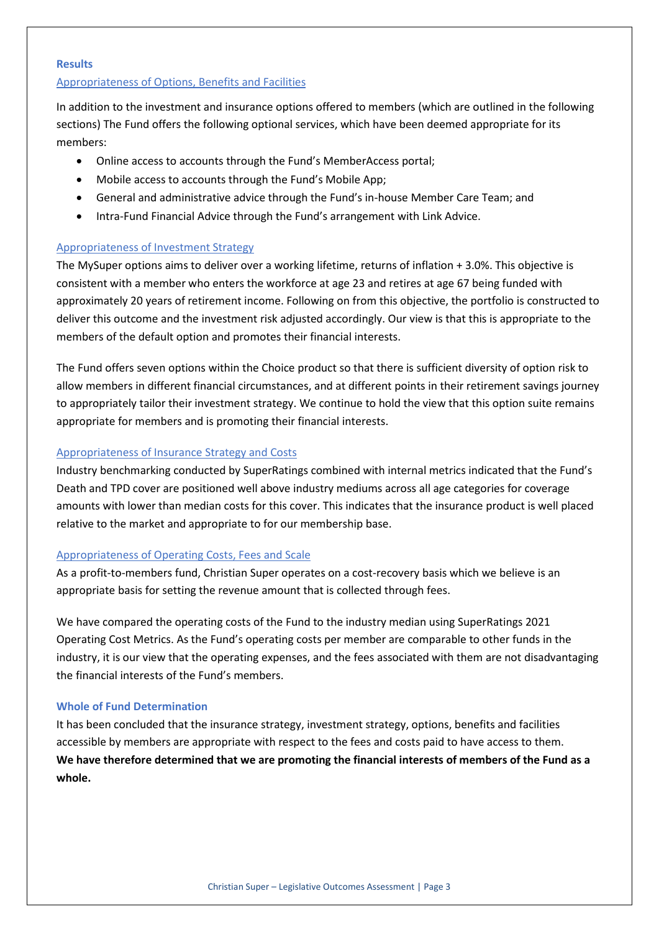#### **Results**

#### Appropriateness of Options, Benefits and Facilities

In addition to the investment and insurance options offered to members (which are outlined in the following sections) The Fund offers the following optional services, which have been deemed appropriate for its members:

- Online access to accounts through the Fund's MemberAccess portal;
- Mobile access to accounts through the Fund's Mobile App;
- General and administrative advice through the Fund's in-house Member Care Team; and
- Intra-Fund Financial Advice through the Fund's arrangement with Link Advice.

# Appropriateness of Investment Strategy

The MySuper options aims to deliver over a working lifetime, returns of inflation + 3.0%. This objective is consistent with a member who enters the workforce at age 23 and retires at age 67 being funded with approximately 20 years of retirement income. Following on from this objective, the portfolio is constructed to deliver this outcome and the investment risk adjusted accordingly. Our view is that this is appropriate to the members of the default option and promotes their financial interests.

The Fund offers seven options within the Choice product so that there is sufficient diversity of option risk to allow members in different financial circumstances, and at different points in their retirement savings journey to appropriately tailor their investment strategy. We continue to hold the view that this option suite remains appropriate for members and is promoting their financial interests.

# Appropriateness of Insurance Strategy and Costs

Industry benchmarking conducted by SuperRatings combined with internal metrics indicated that the Fund's Death and TPD cover are positioned well above industry mediums across all age categories for coverage amounts with lower than median costs for this cover. This indicates that the insurance product is well placed relative to the market and appropriate to for our membership base.

# Appropriateness of Operating Costs, Fees and Scale

As a profit-to-members fund, Christian Super operates on a cost-recovery basis which we believe is an appropriate basis for setting the revenue amount that is collected through fees.

We have compared the operating costs of the Fund to the industry median using SuperRatings 2021 Operating Cost Metrics. As the Fund's operating costs per member are comparable to other funds in the industry, it is our view that the operating expenses, and the fees associated with them are not disadvantaging the financial interests of the Fund's members.

# **Whole of Fund Determination**

It has been concluded that the insurance strategy, investment strategy, options, benefits and facilities accessible by members are appropriate with respect to the fees and costs paid to have access to them. **We have therefore determined that we are promoting the financial interests of members of the Fund as a whole.**